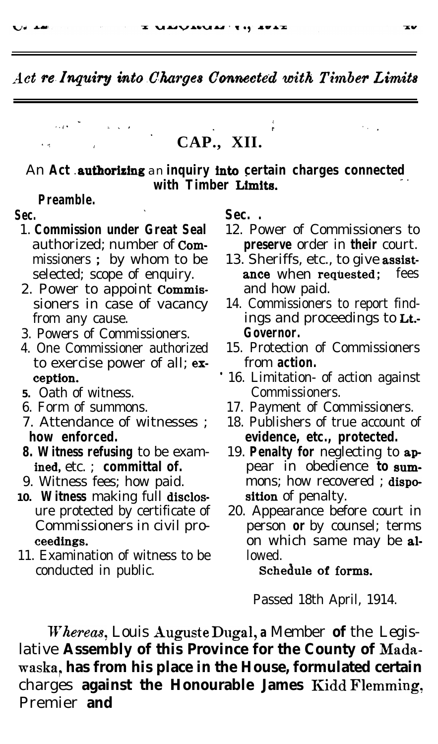\* <sup>E</sup> <sup>I</sup> <sup>I</sup> <sup>i</sup> \* 1. . ,

.

# **CAP., XII.**

#### An Act authorizing an inquiry into certain charges connected with Timber Limits.

#### **Preamble.**

'

معد بن

- 
- 2. Power to appoint **Commis-** and how paid.<br>sioners in case of vacancy 14. Commissioners
- 3. Powers of Commissioners. **Governor.**
- to exercise power of all; ex- from **action.**
- **5.** Oath of witness.
- 
- 
- 
- 
- 10. **Witness** making full disclos-<br>ure protected by certificate of 20. Appearance bef
- 11. Examination of witness to be lowed. conducted in public. **schedule 0f forms.**

#### Sec. . Sec. .

- 1. **Commission under Great Seal** 12. Power of Commissioners to authorized: number of **Com- preserve** order in **their** court. **preserve** order in **their** court.
	- missioners ; by whom to be 13. Sheriffs, etc., to give assistselected; scope of enquiry. **ance** when requested; fees
	- 14. Commissioners to report findfrom any cause. ings and proceedings to Lt.-
- 4. One Commissioner authorized 15. Protection of Commissioners
	- **ception.**  $\begin{array}{c} \bullet \end{array}$  16. Limitation- of action against Oath of witness. Commissioners.
- 6. Form of summons. 17. Payment of Commissioners.
- 7. Attendance of witnesses ; 18. Publishers of true account of **how enforced. evidence, etc., protected.**<br>**8. Witness refusing** to be exam- 19. **Penalty for** neglecting to
- **Witness refusing** to be exam- 19. **Penalty for** neglecting to apined, etc.: **committal of.** pear in obedience to sum**ined,** etc. ; **committal of.** pear in obedience **to sum-**<br>9. Witness fees; how paid. mons; how recovered; **dispo**mons; how recovered ; dispo-
	- 20. Appearance before court in Commissioners in civil pro- person **or** by counsel; terms ceedings. The contract of the same may be al-

Passed 18th April, 1914.

Whereas, Louis Auguste Dugal, a Member of the Legislative **Assembly of this Province for the County of Madawaska, , has from his place in the House, formulated certain** charges **against the Honourable James** Kidd Flemming, Premier **and** 

 $\mathcal{L}^{\mathcal{L}}$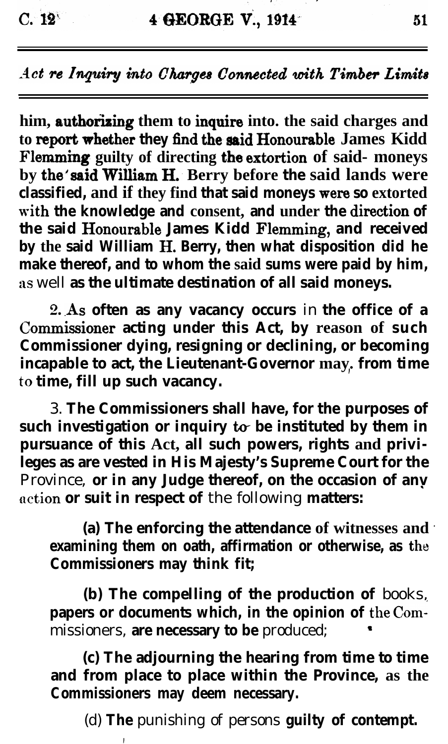$C. 12<sup>6</sup>$ 

Act re Inquiry into Charges Connected with Timber Limits

him, authorizing them to inquire into. the said charges and to report whether they find the said Honourable James Kidd Flemming guilty of directing the extortion of said- moneys **by the'said William H; Berry before the said lands were classified, and if they find that said moneys were so extorted** with the knowledge and consent, and under the direction of the said Honourable James Kidd Flemming, and received **by the said William H. Berry, then what disposition did he make thereof, and to whom the said sums were paid by him,** as well as the ultimate destination of all said moneys.

**2. .As often as any vacancy occurs** in **the office of a** Commissioner acting under this Act, by reason of such **Commissioner dying, resigning or declining, or becoming incapable to act, the Lieutenant-Governor may. , from time** to **time, fill up such vacancy.**

3. **The Commissioners shall have, for the purposes of such investigation or inquiry to be instituted by them in pursuance of this Act, all such powers, rights and privileges as are vested in His Majesty's Supreme Court for the** Province, **or in any Judge thereof, on the occasion of any action or suit in respect of** the following **matters:**

**(a) The enforcing the attendance of witnesses and \* examining them on oath, affirmation or otherwise, as the Commissioners may think fit;**

**(b) The compelling of the production of** books, papers or documents which, in the opinion of the Commissioners, **are necessary to be** produced; <sup>8</sup>

**(c) The adjourning the hearing from time to time and from place to place within the Province, as the Commissioners may deem necessary.**

**,**

(d) **The** punishing of persons **guilty of contempt.**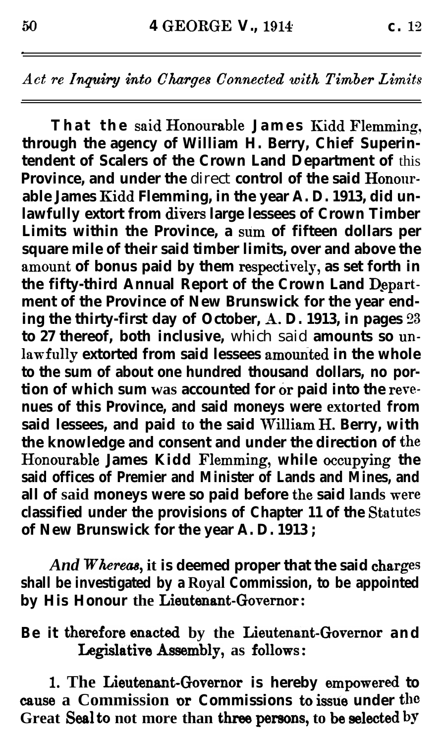**That the said Honorable James Kidd Flemmiq, through the agency of William H. Berry, Chief Superintendent of Scalers of the Crown Land Department of** this **Province, and under the** direct **control of the said Hononrable James Kidd Flemming, in the year A. D. 1913, did unlawfully extort from divers large lessees of Crown Timber Limits within the Province, a sum of fifteen dollars per square mile of their said timber limits, over and above the** amount of bonus paid by them respectively, as set forth in the fifty-third Annual Report of the Crown Land Depart**ment of the Province of New Brunswick for the year ending the thirty-first day of October, A. D. 1913, in pages 23 to 27 thereof, both inclusive,** which said **amounts so un**lawfully extorted from said lessees amounted in the whole **to the sum of about one hundred thousand dollars, no portion of which sum was accounted for or paid into the revenues of this Province, and said moneys were extorted from** said lessees, and paid to the said William H. Berry, with the knowledge and consent and under the direction of the Honourable James Kidd Flemming, while occupying the **said offices of Premier and Minister of Lands and Mines, and** all of said moneys were so paid before the said lands were **classified under the provisions of Chapter 11 of the Statutes of New Brunswick for the year A. D. 1913 ;**

And Whereas, it is deemed proper that the said charges **shall be investigated by a Royal Commission, to be appointed** by His Honour the Lieutenant-Governor:

Be it therefore enacted by the Lieutenant-Governor and Legislative Assembly, as follows:

1. The Lieutenant-Governor is hereby empowered to **cause a Commission or Commissions to issue under the** Great Seal to not more than three persons, to be selected by

.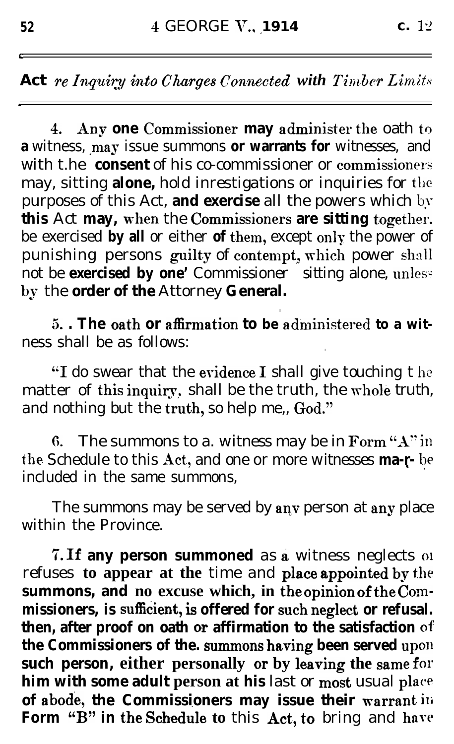**4.** Any one Commissioner may administer the oath to **a** witness, may issue summons **or warrants for** witnesses. and with t.he **consent** of his co-commissioner or commissioners may, sitting **alone,** hold inrestigations or inquiries for the purposes of this Act, **and exercise** all the powers which by this Act may, when the Commissioners are sitting together. be exercised **by all** or either **of** them, except only the power of punishing persons guilty of contempt, which power shall not be **exercised by one'** Commissioner sitting alone, unless by the **order of the** Attorney **General.** 

**5.** The oath or affirmation to be administered to a witness shall be as follows:

**.**

"I do swear that the evidence I shall give touching the matter of this inquiry, shall be the truth, the whole truth, and nothing but the truth, so help me., God."

6. The summons to a. witness may be in Form " $A$ " in the Schedule to this Act, and one or more witnesses **ma-r-** be included in the same summons,

The summons may be served by  $\mathbf a$ ny person at  $\mathbf a$ ny place within the Province.

**'7. If any person summoned** as & witness neglects 01 refuses to appear at the time and place appointed by the **summons, and no excuse which, in the** opinion of the Cornmissioners, is sufficient, is offered for such neglect or refusal. **then, after proof on oath or affirmation to the satisfaction of! the Commissioners of the. summons having been served up011 such person, either personally or by leaving the same for him with some adult person at his** last or most usual plac\*e **of abode, the Commissioners may issue their warrant ili** Form "B" in the Schedule to this Act, to bring and have

**c**

*I*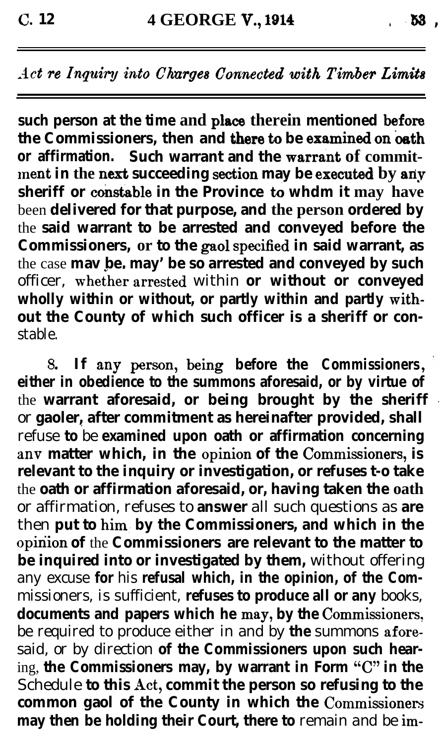**such person at the time and place therein mentioned before the Commissioners, then and there to be examined on oath** or affirmation. Such warrant and the warrant of commit**lnent in the next succeeding section may be executedi by ariy sheriff or constable in the Province to whdm it may have** been **delivered for that purpose, and the person ordered by** the **said warrant to be arrested and conveyed before the Commissioners, or to the gaol specified in said warrant, as** the case **mav be, may' be so arrested and conveyed by such** officer, whether arrested within or without or conveyed **wholly within or without, or partly within and partly mithout the County of which such officer is a sheriff or con**stable.

8. **If any before the Commissioners either in obedience to the summons aforesaid, or by virtue of** the **warrant aforesaid, or being brought by the sheriff** or **gaoler, after commitment as hereinafter provided, shall <sup>i</sup>** refuse **to** be **examined upon oath or affirmation concerning** anv matter which, in the opinion of the Commissioners, is **relevant to the inquiry or investigation, or refuses t-o take** the **oath or affirmation aforesaid, or, having taken the oath** or affirmation, refuses to **answer** all such questions as **are** then **put to him- by the Commissioners, and which in the** opinion of the **Commissioners** are relevant to the matter to **be inquired into or investigated by them,** without offering any excuse **for** his **refusal which, in the opinion, of the Com**missioners, is sufficient, **refuses to produce all or any** books, documents and papers which he may, by the Commissioners, be required to produce either in and by **the** summons afore: said, or by direction **of the Commissioners upon such hear**ing, **the Commissioners may, by warrant in Form "C" in the** Schedule **to this Act, commit the person so refusing to the** common gaol of the County in which the Commissioners may then be holding their Court, there to remain and be im-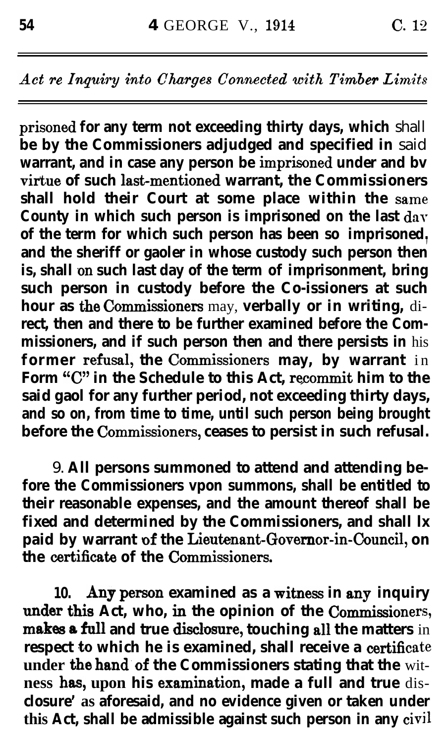**prisoned for any term not exceeding thirty days, which** shall **be by the Commissioners adjudged and specified in** said warrant, and in case any person be imprisoned under and bv virtue of such last-mentioned warrant, the Commissioners shall hold their Court at some place within the same **County in which such person is imprisoned on the last day of the term for which such person has been so imprisoned., and the sheriff or gaoler in whose custody such person then** is, shall on such last day of the term of imprisonment, bring **such person in custody before the Co-issioners at such** hour as the Commissioners may, verbally or in writing, di**rect, then and there to be further examined before the Commissioners, and if such person then and there persists in** his former refusal, the Commissioners may, by warrant in Form "C" in the Schedule to this Act, recommit him to the **said gaol for any further period, not exceeding thirty days, and so on, from time to time, until such person being brought** before the Commissioners, ceases to persist in such refusal.

9. **All persons summoned to attend and attending before the Commissioners vpon summons, shall be entitled to their reasonable expenses, and the amount thereof shall be fixed and determined by the Commissioners, and shall lx** paid by warrant of the Lieutenant-Governor-in-Council, on **the certificate of the Commissioners.** 

**10. Any person examined as a witness in any inquiry** under this Act, who, in the opinion of the Commissioners, makes a full and true disclosure, touching all the matters in **respect to which he is examined, shall receive a certificate under 'the hand.of the Commissioners stating that the** wit**ness has, upon his examination, made a full and true** dis**closure' as aforesaid, and no evidence given or taken under this Act, shall be admissible against such person in any civil**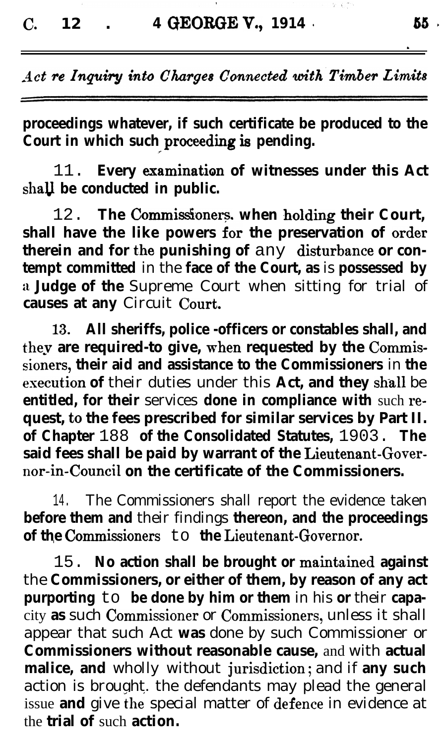**proceedings whatever, if such certificate be produced to the Court in which such proceeding is pending.** 

**\_--**

11. **Every lamination of witnesses under this Act** shall be conducted in public.

12. **The Commissioners, when holding their Court,** shall have the like powers for the preservation of order therein and for the punishing of any disturbance or con**tempt committed** in the **face of the Court, as** is **possessed by** a **Judge of the** Supreme Court when sitting for trial of **causes at any** Circuit Court.

**13. All sheriffs, police -officers or constables shall, and** thev **are required-to give, when requested by the Commissioiers, their aid and assistance to the Commissioners** in **the execution of** their duties under this **Act, and they** shall be **entitled, for their services done in compliance with such request,** to **the fees prescribed for similar services by Part II. of Chapter** 188 **of the Consolidated Statutes,** 1903. **The said fees shall be paid by warrant of the Lieutenant-Governor-in~Counci1 on the certificate of the Commissioners.**

14. The Commissioners shall report the evidence taken **before them and** their findings **thereon, and the proceedings of the Commissioners** to **the Lieutenant-Governor.** 

15. No action shall be brought or maintained against the **Commissioners, or either of them, by reason of any act purporting** to **be done by him or them** in his **or** their **capa**city as such Commissioner or Commissioners, unless it shall appear that such Act **was** done by such Commissioner or **Commissioners without reasonable cause,** and with **actual malice, and** wholly without jurisdiction; and if **any such** action is brought. the defendants may plead the general issue **and** give the special matter of defence in evidence at the **trial of** such **action.**

.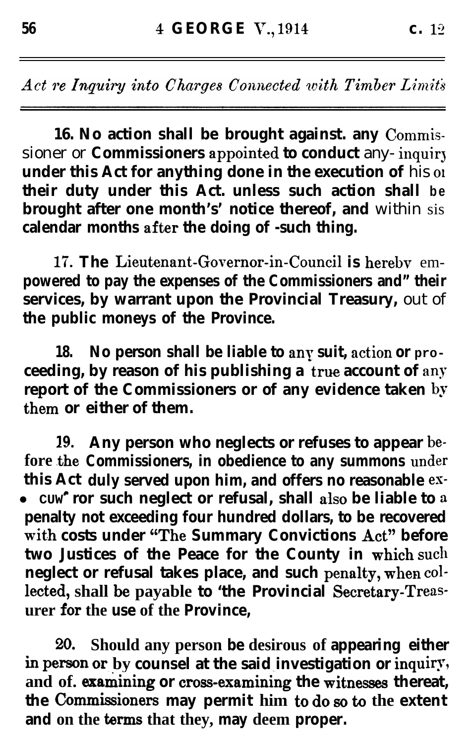16. No action shall be brought against. any Commissioner or **Commissioners appointed to conduct** any- inquiry under this Act for anything done in the execution of his of **their duty under this Act. unless such action shall be brought after one month's' notice thereof, and** within sis calendar months after the doing of -such thing.

**17. The Lieutenant-Governor-in-Council is hereby** em**powered to pay the expenses of the Commissioners and" their services, by warrant upon the Provincial Treasury,** out of **the public moneys of the Province.**

18. No person shall be liable to any suit, action or pro**ceeding, by reason of his publishing a true account of any report of the Commissioners or of any evidence taken** by them or either of them.

**19 Any person who neglects or refuses to appear be**fore the **Commissioners, in obedience to any summons** under **this Act duly served upon him, and offers no reasonable es-•** cuw ror such neglect or refusal, shall also be liable to a **penalty not exceeding four hundred dollars, to be recovered** with costs under "The Summary Convictions Act" before two Justices of the Peace for the County in which such **neglect or refusal takes place, and such penalty, when collected, shall be payable to 'the Provincial Secretary-Treas. urer for the use of the Province.** 

**20. Should any person be desirous of appearing either in** person or by counsel at the said investigation or inquiry, and of. examining or cross-examining the witnesses thereat, **the ~o~~ione~ may permit him to do <sup>m</sup> to the extent and on the terms that they, may deem proper.**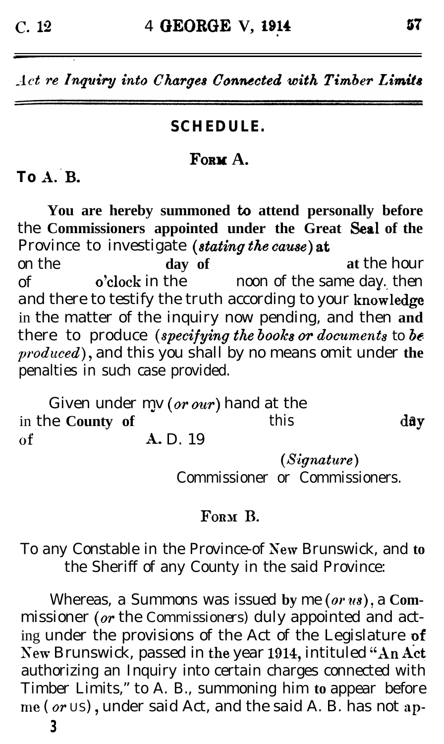### **SCHEDULE.**

# **FORW A.**

# **To A.-B.**

You are hereby summoned to attend personally before the **Commissioners appointed under the Great Seal of the** Province to investigate *(stating the cause) at* on the **day of at** the hour of o'clock in the noon of the same day. then and there to testify the truth according to your knowledge in the matter of the inquiry now pending, and then **and** there to produce *(specifying the books OT documents to be*  $produced)$ , and this you shall by no means omit under the penalties in such case provided.

day Given under my (or our) hand at the in the **County of** this *Of* A, D. 19

*(Signature)* Commissioner or Commissioners.

## FORM B.

To any Constable in the Province-of Xew Brunswick, and **to** the Sheriff of any County in the said Province:

Whereas, a Summons was issued by me (or us), a Commissioner (or the *Commissioners)* duly appointed and acting under the provisions of the Act of the Legislature **af** New Brunswick, passed in the year 1914, intituled "An Act authorizing an Inquiry into certain charges connected with Timber Limits," to A. B., summoning him **to** appear before me ( $or$  US), under said Act, and the said A. B. has not ap-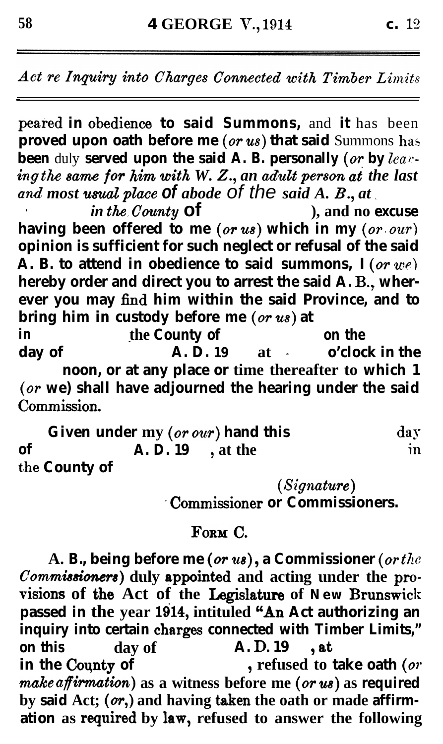peared in obedience to said Summons, and it has been **proved upon oath before me (***or us***) that said** Summons has **been** duly **served upon the said A. B. personally (or by lea?: ing** the *sum fop ~~~ with W. Z., an admit p~~~~n ai the last a.mf most umal place of abode of the said A. B., at \_*

*. in tk.County* **of ), and no excuse** having been offered to me (or us) which in my (or our) **opinion is sufficient for such neglect or refusal of the said**  $\overline{A}$ . **B.** to attend in obedience to said summons,  $I(\text{or } we)$ **hereby order and direct you to arrest the said A. B., wherever you may find him within the said Province, and to** bring him in custody before me (or us) at

**in the County of on the day of A. D. 19 at - o'clock in the noon, or at any place or time thereafter to which 1 (or we) shall have adjourned the hearing under the said** Commission.

**Given under my** (or our) hand this day **of A. D. 19 , at the in t)he County of**

*(s~g~a~t~~e)*

**'Commissioner or Commissioners.** 

### FORM C.

**A. B., being before me (UT 218) 9 a Commissioner (o** the Commissioners) duly appointed and acting under the provisions of the Act of the Legislature of New Brunswick passed in the year 1914, intituled "An Act authorizing an inquiry into certain charges connected with Timber Limits," **on this day of A. D. 19 , at in the County of continued** to **in the County of <sup>9</sup> refused to take oath** *(07'*  $make$  *affirmation*) as a witness before me (or *us*) as required by said Act; (or,) and having taken the oath or made affirmation as required by law, refused to answer the following

c